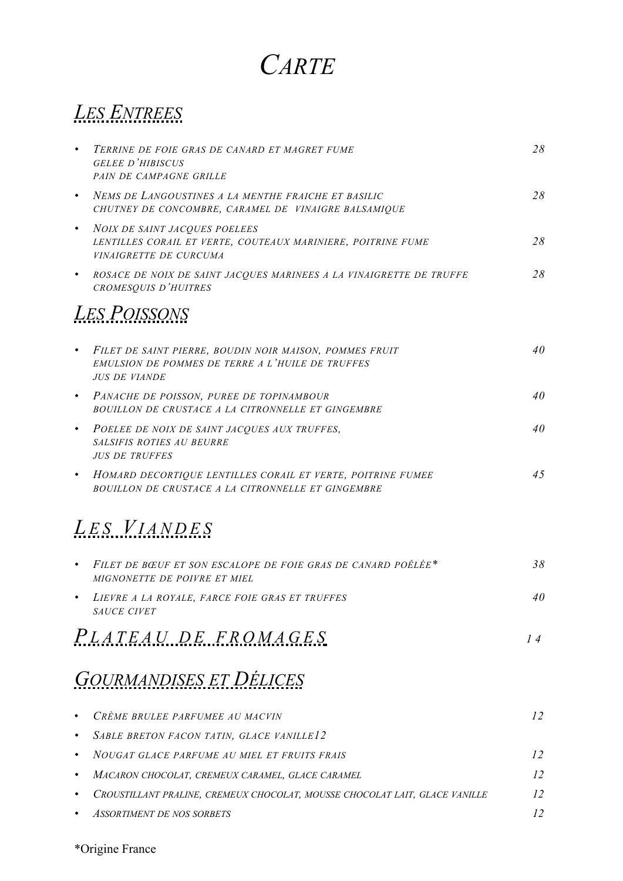# *CARTE*

# *LES ENTREES*

| $\bullet$ | TERRINE DE FOIE GRAS DE CANARD ET MAGRET FUME<br><b>GELEE D'HIBISCUS</b><br>PAIN DE CAMPAGNE GRILLE                                 | 28 |
|-----------|-------------------------------------------------------------------------------------------------------------------------------------|----|
| $\bullet$ | NEMS DE LANGOUSTINES A LA MENTHE FRAICHE ET BASILIC<br>CHUTNEY DE CONCOMBRE, CARAMEL DE VINAIGRE BALSAMIQUE                         | 28 |
| $\bullet$ | <b>NOIX DE SAINT JACQUES POELEES</b><br>LENTILLES CORAIL ET VERTE, COUTEAUX MARINIERE, POITRINE FUME<br>VINAIGRETTE DE CURCUMA      | 28 |
| $\bullet$ | ROSACE DE NOIX DE SAINT JACQUES MARINEES A LA VINAIGRETTE DE TRUFFE<br>CROMESQUIS D'HUITRES                                         | 28 |
|           | <b>LES POISSONS</b>                                                                                                                 |    |
| $\bullet$ | FILET DE SAINT PIERRE, BOUDIN NOIR MAISON, POMMES FRUIT<br>EMULSION DE POMMES DE TERRE A L'HUILE DE TRUFFES<br><b>JUS DE VIANDE</b> | 40 |
| $\bullet$ | PANACHE DE POISSON, PUREE DE TOPINAMBOUR<br>BOUILLON DE CRUSTACE A LA CITRONNELLE ET GINGEMBRE                                      | 40 |
| $\bullet$ | POELEE DE NOIX DE SAINT JACQUES AUX TRUFFES,<br><b>SALSIFIS ROTIES AU BEURRE</b><br><b>JUS DE TRUFFES</b>                           | 40 |
| $\bullet$ | HOMARD DECORTIQUE LENTILLES CORAIL ET VERTE, POITRINE FUMEE<br>BOUILLON DE CRUSTACE A LA CITRONNELLE ET GINGEMBRE                   | 45 |
|           | <i>LES VIANDES</i>                                                                                                                  |    |
| $\bullet$ | FILET DE BŒUF ET SON ESCALOPE DE FOIE GRAS DE CANARD POÊLÉE <sup>*</sup><br>MIGNONETTE DE POIVRE ET MIEL                            | 38 |
| $\bullet$ | LIEVRE A LA ROYALE, FARCE FOIE GRAS ET TRUFFES<br>SAUCE CIVET                                                                       | 40 |
|           | PLATEAU DE FROMAGES                                                                                                                 | 14 |
|           | <b>GOURMANDISES ET DÉLICES</b>                                                                                                      |    |
|           | CRÈME BRULEE PARFUMEE AU MACVIN                                                                                                     | 12 |
| $\bullet$ | SABLE BRETON FACON TATIN, GLACE VANILLE12                                                                                           |    |
| $\bullet$ | NOUGAT GLACE PARFUME AU MIEL ET FRUITS FRAIS                                                                                        | 12 |
| ٠         | MACARON CHOCOLAT, CREMEUX CARAMEL, GLACE CARAMEL                                                                                    | 12 |
| ٠         | CROUSTILLANT PRALINE, CREMEUX CHOCOLAT, MOUSSE CHOCOLAT LAIT, GLACE VANILLE                                                         | 12 |
|           | <b>ASSORTIMENT DE NOS SORBETS</b>                                                                                                   | 12 |
|           |                                                                                                                                     |    |

\*Origine France